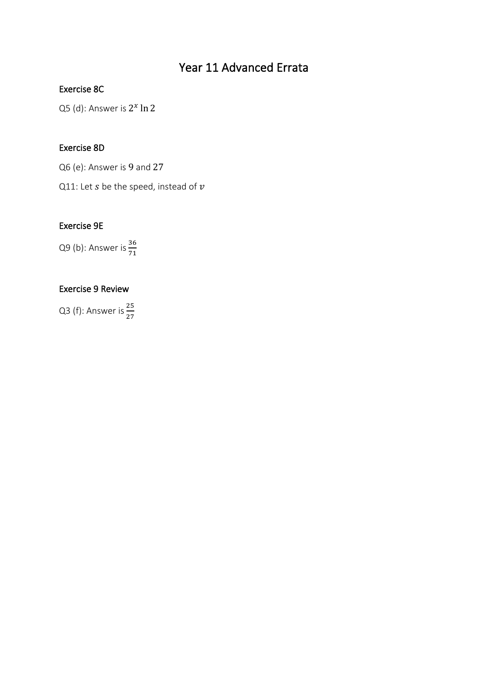# Year 11 Advanced Errata

# Exercise 8C

Q5 (d): Answer is  $2^x \ln 2$ 

# Exercise 8D

Q6 (e): Answer is 9 and 27

Q11: Let  $s$  be the speed, instead of  $v$ 

# Exercise 9E

Q9 (b): Answer is  $\frac{36}{71}$ 

# Exercise 9 Review

Q3 (f): Answer is  $\frac{25}{27}$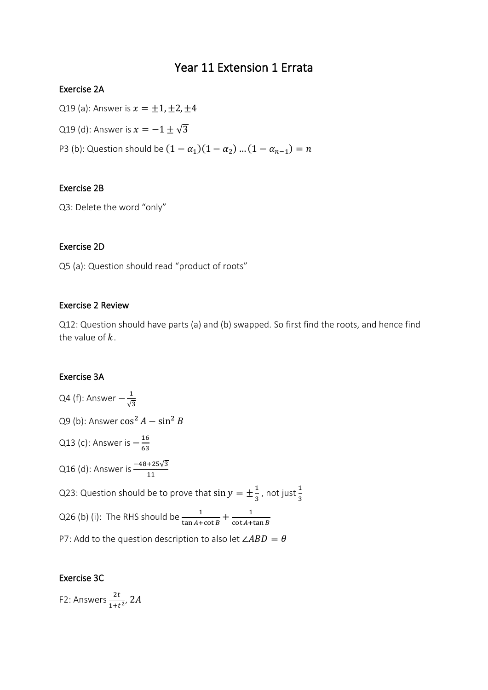# Year 11 Extension 1 Errata

# Exercise 2A

Q19 (a): Answer is  $x = \pm 1, \pm 2, \pm 4$ Q19 (d): Answer is  $x = -1 \pm \sqrt{3}$ P3 (b): Question should be  $(1 - \alpha_1)(1 - \alpha_2) ... (1 - \alpha_{n-1}) = n$ 

# Exercise 2B

Q3: Delete the word "only"

# Exercise 2D

Q5 (a): Question should read "product of roots"

### Exercise 2 Review

Q12: Question should have parts (a) and (b) swapped. So first find the roots, and hence find the value of  $k$ .

# Exercise 3A

Q4 (f): Answer  $-\frac{1}{\sqrt{2}}$ √3 Q9 (b): Answer  $\cos^2 A - \sin^2 B$ Q13 (c): Answer is  $-\frac{16}{63}$ 63 Q16 (d): Answer is  $\frac{-48+25\sqrt{3}}{11}$ Q23: Question should be to prove that  $\sin y = \pm \frac{1}{2}$  $\frac{1}{3}$ , not just  $\frac{1}{3}$ Q26 (b) (i): The RHS should be  $\frac{1}{\tan A + \cot B} + \frac{1}{\cot A + B}$  $\cot A + \tan B$ P7: Add to the question description to also let  $\angle ABD = \theta$ 

# Exercise 3C

F2: Answers  $\frac{2t}{1+t^2}$ , 2A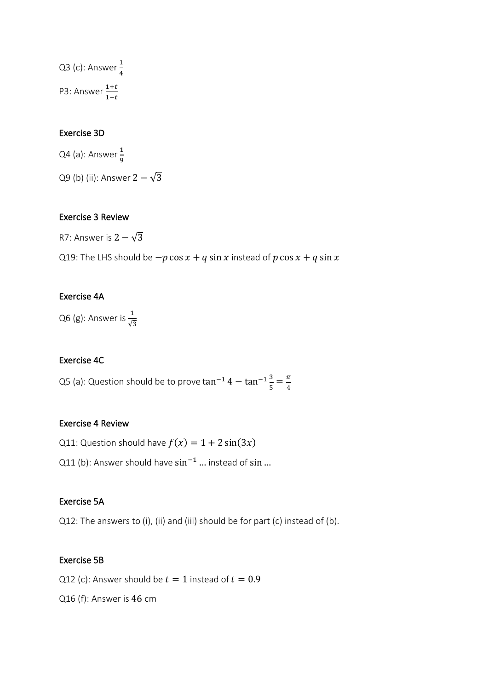Q3 (c): Answer  $\frac{1}{4}$ 4 P3: Answer  $\frac{1+t}{1-t}$ 

# Exercise 3D

Q4 (a): Answer  $\frac{1}{9}$ Q9 (b) (ii): Answer  $2 - \sqrt{3}$ 

# Exercise 3 Review

R7: Answer is  $2 - \sqrt{3}$ 

Q19: The LHS should be  $-p \cos x + q \sin x$  instead of  $p \cos x + q \sin x$ 

# Exercise 4A

Q6 (g): Answer is  $\frac{1}{\sqrt{3}}$ 

# Exercise 4C

Q5 (a): Question should be to prove  $\tan^{-1} 4 - \tan^{-1} \frac{3}{5}$  $\frac{3}{5} = \frac{\pi}{4}$ 4

#### Exercise 4 Review

Q11: Question should have  $f(x) = 1 + 2 \sin(3x)$ 

Q11 (b): Answer should have sin<sup>-1</sup> ... instead of sin ...

# Exercise 5A

Q12: The answers to (i), (ii) and (iii) should be for part (c) instead of (b).

#### Exercise 5B

Q12 (c): Answer should be  $t = 1$  instead of  $t = 0.9$ 

Q16 (f): Answer is 46 cm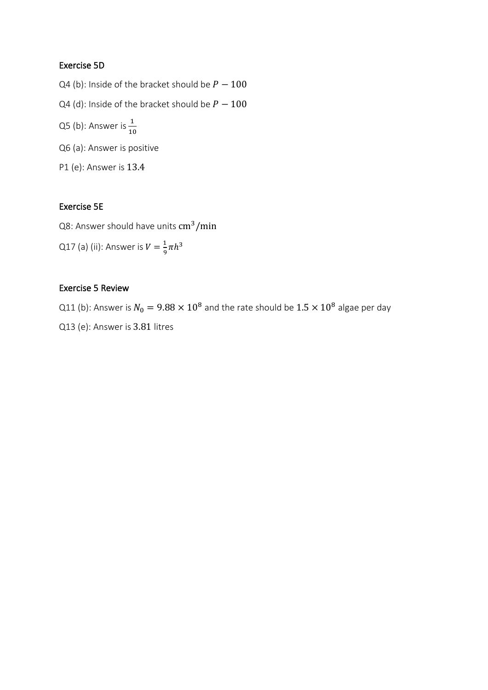# Exercise 5D

- Q4 (b): Inside of the bracket should be  $P 100$
- Q4 (d): Inside of the bracket should be  $P 100$
- Q5 (b): Answer is  $\frac{1}{10}$
- Q6 (a): Answer is positive
- P1 (e): Answer is 13.4

# Exercise 5E

Q8: Answer should have units cm<sup>3</sup>/min

Q17 (a) (ii): Answer is  $V=\frac{1}{2}$  $\frac{1}{9}\pi h^3$ 

#### Exercise 5 Review

Q11 (b): Answer is  $N_0 = 9.88 \times 10^8$  and the rate should be  $1.5 \times 10^8$  algae per day Q13 (e): Answer is 3.81 litres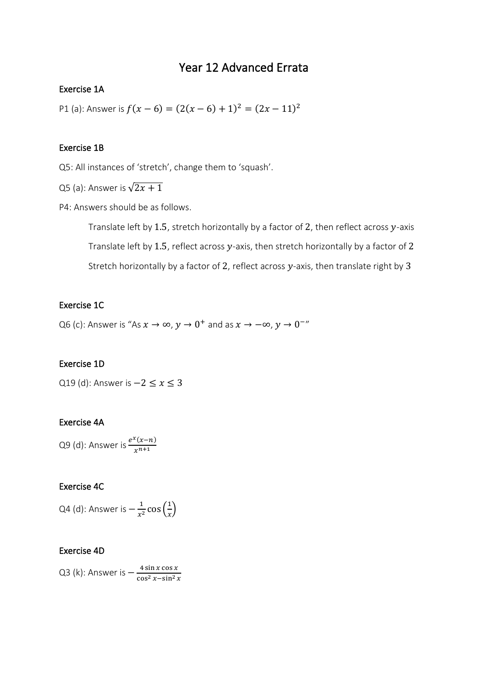# Year 12 Advanced Errata

### Exercise 1A

P1 (a): Answer is  $f(x-6) = (2(x-6) + 1)^2 = (2x - 11)^2$ 

#### Exercise 1B

Q5: All instances of 'stretch', change them to 'squash'.

Q5 (a): Answer is  $\sqrt{2x+1}$ 

P4: Answers should be as follows.

Translate left by 1.5, stretch horizontally by a factor of 2, then reflect across  $y$ -axis Translate left by 1.5, reflect across  $y$ -axis, then stretch horizontally by a factor of 2 Stretch horizontally by a factor of 2, reflect across  $y$ -axis, then translate right by 3

# Exercise 1C

Q6 (c): Answer is "As  $x \to \infty$ ,  $y \to 0^+$  and as  $x \to -\infty$ ,  $y \to 0^{-n}$ 

### Exercise 1D

Q19 (d): Answer is  $-2 \le x \le 3$ 

## Exercise 4A

Q9 (d): Answer is  $\frac{e^{x}(x-n)}{x^{n+1}}$  $x^{n+1}$ 

#### Exercise 4C

Q4 (d): Answer is  $-\frac{1}{\pi i}$  $rac{1}{x^2}$  cos  $\left(\frac{1}{x}\right)$  $\frac{1}{x}$ 

#### Exercise 4D

Q3 (k): Answer is  $-\frac{4 \sin x \cos x}{\cos^2 x - \sin^2 x}$  $\cos^2 x - \sin^2 x$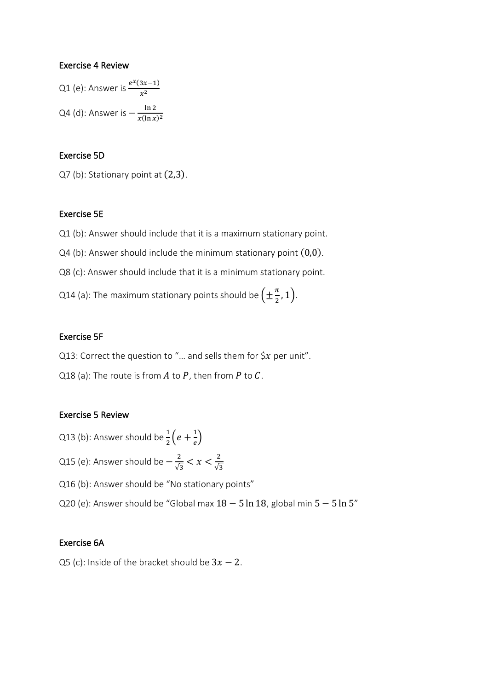#### Exercise 4 Review

Q1 (e): Answer is 
$$
\frac{e^{x}(3x-1)}{x^2}
$$
  
Q4 (d): Answer is 
$$
-\frac{\ln 2}{x(\ln x)^2}
$$

#### Exercise 5D

Q7 (b): Stationary point at (2,3).

#### Exercise 5E

Q1 (b): Answer should include that it is a maximum stationary point.

- Q4 (b): Answer should include the minimum stationary point (0,0).
- Q8 (c): Answer should include that it is a minimum stationary point.
- Q14 (a): The maximum stationary points should be  $(\pm \frac{\pi}{2})$  $(\frac{\pi}{2}, 1).$

#### Exercise 5F

- Q13: Correct the question to "... and sells them for  $\zeta x$  per unit".
- Q18 (a): The route is from  $A$  to  $P$ , then from  $P$  to  $C$ .

#### Exercise 5 Review

- Q13 (b): Answer should be  $\frac{1}{2}\Big(e+\frac{1}{e}\Big)$  $\frac{1}{e}$
- Q15 (e): Answer should be  $-\frac{2}{\sqrt{3}}$  $\frac{2}{\sqrt{3}} < x < \frac{2}{\sqrt{3}}$ √3
- Q16 (b): Answer should be "No stationary points"
- Q20 (e): Answer should be "Global max 18 − 5 ln 18, global min 5 − 5 ln 5"

#### Exercise 6A

Q5 (c): Inside of the bracket should be  $3x - 2$ .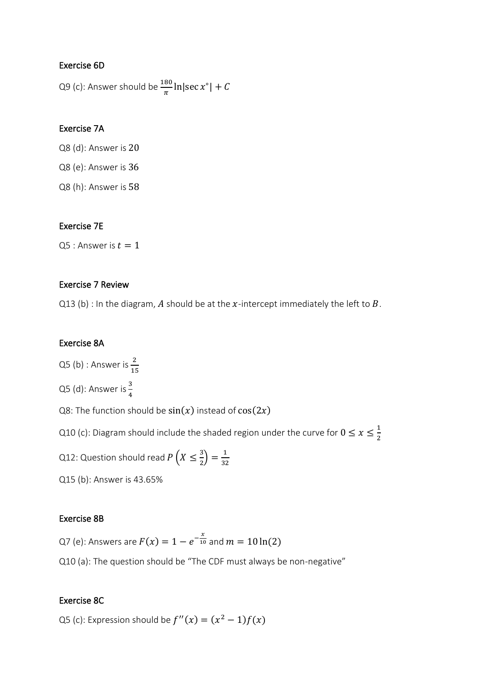## Exercise 6D

Q9 (c): Answer should be  $\frac{180}{\pi}$  ln|sec  $x^{\circ}$ | + C

# Exercise 7A

Q8 (d): Answer is 20

Q8 (e): Answer is 36

Q8 (h): Answer is 58

# Exercise 7E

Q5 : Answer is  $t = 1$ 

# Exercise 7 Review

Q13 (b) : In the diagram, A should be at the x-intercept immediately the left to B.

# Exercise 8A

Q5 (b) : Answer is  $\frac{2}{15}$ 

Q5 (d): Answer is  $\frac{3}{4}$ 

Q8: The function should be  $sin(x)$  instead of  $cos(2x)$ 

Q10 (c): Diagram should include the shaded region under the curve for  $0 \le x \le \frac{1}{2}$ 2

Q12: Question should read  $P\left(X\leq\frac{3}{2}\right)$  $\frac{3}{2}$  =  $\frac{1}{32}$ 32

Q15 (b): Answer is 43.65%

### Exercise 8B

Q7 (e): Answers are  $F(x) = 1 - e^{-\frac{x}{10}}$  and  $m = 10\ln(2)$ 

Q10 (a): The question should be "The CDF must always be non-negative"

### Exercise 8C

Q5 (c): Expression should be  $f''(x) = (x^2 - 1)f(x)$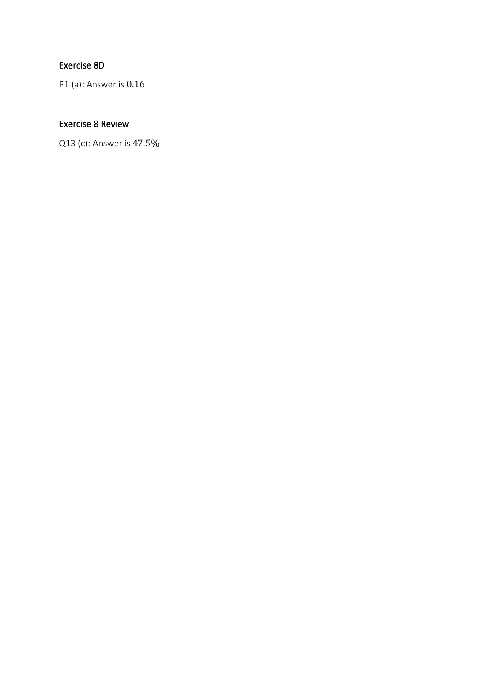# Exercise 8D

P1 (a): Answer is 0.16

# Exercise 8 Review

Q13 (c): Answer is 47.5%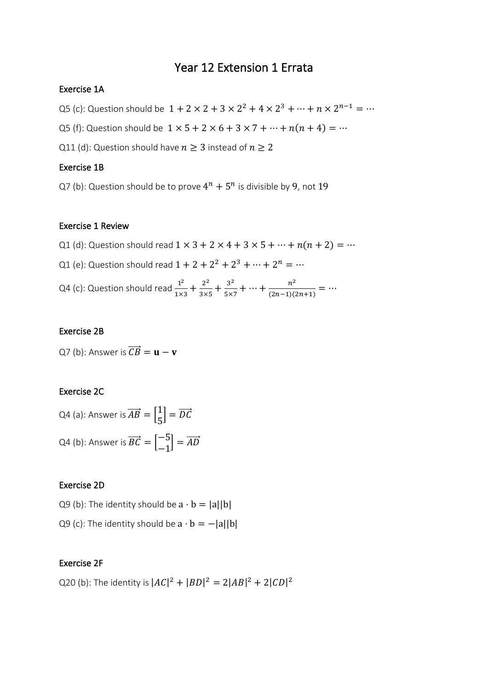# Year 12 Extension 1 Errata

# Exercise 1A

Q5 (c): Question should be  $1 + 2 \times 2 + 3 \times 2^2 + 4 \times 2^3 + \dots + n \times 2^{n-1} = \dots$ 

Q5 (f): Question should be  $1 \times 5 + 2 \times 6 + 3 \times 7 + \dots + n(n + 4) = \dots$ 

Q11 (d): Question should have  $n \geq 3$  instead of  $n \geq 2$ 

#### Exercise 1B

Q7 (b): Question should be to prove  $4^n + 5^n$  is divisible by 9, not 19

#### Exercise 1 Review

- Q1 (d): Question should read  $1 \times 3 + 2 \times 4 + 3 \times 5 + \dots + n(n + 2) = \dots$
- Q1 (e): Question should read  $1 + 2 + 2^2 + 2^3 + \dots + 2^n = \dots$

Q4 (c): Question should read  $\frac{1^2}{11}$  $\frac{1^2}{1 \times 3} + \frac{2^2}{3 \times 3^2}$  $\frac{2^2}{3\times5} + \frac{3^2}{5\times}$  $rac{3^2}{5 \times 7} + \cdots + \frac{n^2}{(2n-1)(n+1)}$  $\frac{n}{(2n-1)(2n+1)} = \cdots$ 

#### Exercise 2B

Q7 (b): Answer is  $\overrightarrow{CB} = \mathbf{u} - \mathbf{v}$ 

# Exercise 2C

Q4 (a): Answer is 
$$
\overrightarrow{AB} = \begin{bmatrix} 1 \\ 5 \end{bmatrix} = \overrightarrow{DC}
$$
  
Q4 (b): Answer is  $\overrightarrow{BC} = \begin{bmatrix} -5 \\ -1 \end{bmatrix} = \overrightarrow{AD}$ 

### Exercise 2D

Q9 (b): The identity should be  $a \cdot b = |a||b|$ 

Q9 (c): The identity should be  $a \cdot b = -|a||b|$ 

### Exercise 2F

Q20 (b): The identity is  $|AC|^2 + |BD|^2 = 2|AB|^2 + 2|CD|^2$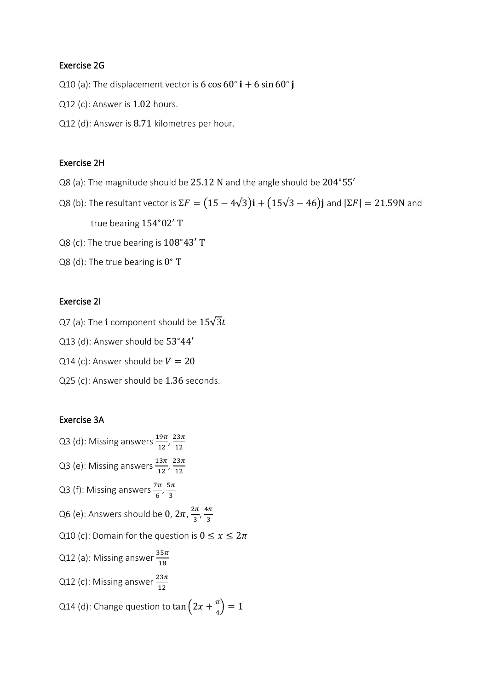### Exercise 2G

Q10 (a): The displacement vector is 6 cos  $60^\circ$  i + 6 sin  $60^\circ$  j

- Q12 (c): Answer is 1.02 hours.
- Q12 (d): Answer is 8.71 kilometres per hour.

#### Exercise 2H

Q8 (a): The magnitude should be 25.12 N and the angle should be 204∘55′

Q8 (b): The resultant vector is  $\Sigma F = (15 - 4\sqrt{3})\mathbf{i} + (15\sqrt{3} - 46)\mathbf{j}$  and  $|\Sigma F| = 21.59$ N and true bearing 154∘02′ T

- Q8 (c): The true bearing is 108°43′ T
- Q8 (d): The true bearing is  $0^{\circ}$  T

#### Exercise 2I

- Q7 (a): The **i** component should be  $15\sqrt{3}t$
- Q13 (d): Answer should be 53°44'
- Q14 (c): Answer should be  $V = 20$
- Q25 (c): Answer should be 1.36 seconds.

### Exercise 3A

Q3 (d): Missing answers  $\frac{19\pi}{12}$ ,  $\frac{23\pi}{12}$ 12 Q3 (e): Missing answers  $\frac{13\pi}{12}$ ,  $\frac{23\pi}{12}$ 12 Q3 (f): Missing answers  $\frac{7\pi}{6}, \frac{5\pi}{3}$ 3 Q6 (e): Answers should be  $0, 2\pi, \frac{2\pi}{3}$  $\frac{2\pi}{3}, \frac{4\pi}{3}$ 3 Q10 (c): Domain for the question is  $0 \le x \le 2\pi$ Q12 (a): Missing answer  $\frac{35\pi}{18}$ Q12 (c): Missing answer  $\frac{23\pi}{12}$ Q14 (d): Change question to  $\tan\left(2x + \frac{\pi}{4}\right)$  $\frac{\pi}{4}$ ) = 1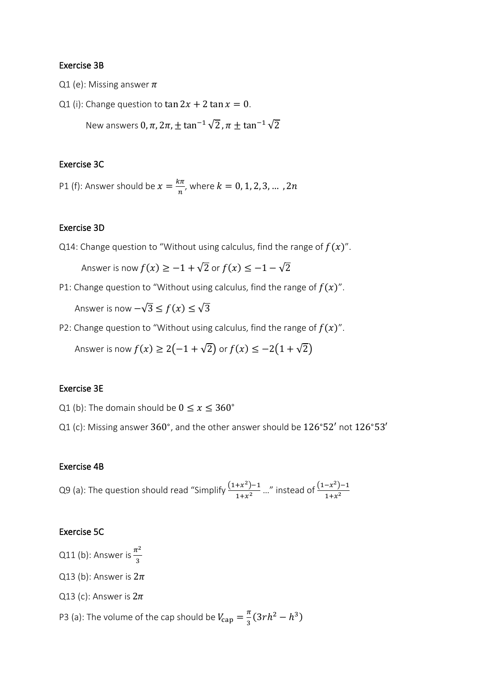#### Exercise 3B

- Q1 (e): Missing answer  $\pi$
- Q1 (i): Change question to  $\tan 2x + 2 \tan x = 0$ .

New answers  $0, \pi, 2\pi, \pm \tan^{-1}\sqrt{2}, \pi + \tan^{-1}\sqrt{2}$ 

#### Exercise 3C

P1 (f): Answer should be  $x = \frac{k\pi}{n}$  $\frac{dn}{n}$ , where  $k = 0, 1, 2, 3, ...$  , 2n

#### Exercise 3D

Q14: Change question to "Without using calculus, find the range of  $f(x)$ ".

Answer is now  $f(x) \ge -1 + \sqrt{2}$  or  $f(x) \le -1 - \sqrt{2}$ 

P1: Change question to "Without using calculus, find the range of  $f(x)$ ".

Answer is now  $-\sqrt{3} \le f(x) \le \sqrt{3}$ 

P2: Change question to "Without using calculus, find the range of  $f(x)$ ".

Answer is now  $f(x) \ge 2(-1 + \sqrt{2})$  or  $f(x) \le -2(1 + \sqrt{2})$ 

#### Exercise 3E

- Q1 (b): The domain should be  $0 \le x \le 360^\circ$
- Q1 (c): Missing answer  $360^{\circ}$ , and the other answer should be  $126^{\circ}52'$  not  $126^{\circ}53'$

#### Exercise 4B

Q9 (a): The question should read "Simplify  $\frac{(1+x^2)-1}{(1+x^2)}$  $\frac{+x^2-1}{1+x^2}$  ..." instead of  $\frac{(1-x^2)-1}{1+x^2}$  $1 + x^2$ 

#### Exercise 5C

Q11 (b): Answer is  $\frac{\pi^2}{2}$ 3

- Q13 (b): Answer is  $2\pi$
- Q13 (c): Answer is  $2\pi$

P3 (a): The volume of the cap should be  $V_{\text{cap}} = \frac{\pi}{3}$  $\frac{\pi}{3}(3rh^2-h^3)$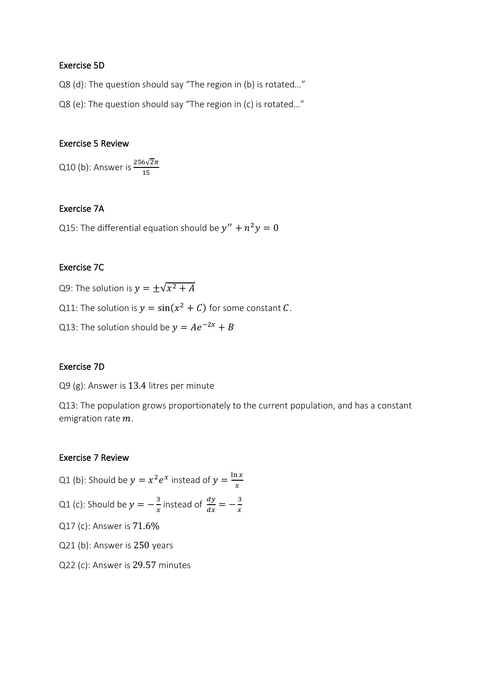#### Exercise 5D

Q8 (d): The question should say "The region in (b) is rotated…"

Q8 (e): The question should say "The region in (c) is rotated…"

#### Exercise 5 Review

Q10 (b): Answer is  $\frac{256\sqrt{2}\pi}{15}$ 

#### Exercise 7A

Q15: The differential equation should be  $y'' + n^2y = 0$ 

## Exercise 7C

Q9: The solution is  $y = \pm \sqrt{x^2 + A}$ 

Q11: The solution is  $y = sin(x^2 + C)$  for some constant C.

Q13: The solution should be  $y = Ae^{-2x} + B$ 

#### Exercise 7D

Q9 (g): Answer is 13.4 litres per minute

Q13: The population grows proportionately to the current population, and has a constant emigration rate  $m$ .

### Exercise 7 Review

Q1 (b): Should be  $y = x^2 e^x$  instead of  $y = \frac{\ln x}{x}$  $\boldsymbol{\chi}$ Q1 (c): Should be  $y=-\frac{3}{x}$  $\frac{3}{x}$  instead of  $\frac{dy}{dx}$  $\frac{dy}{dx} = -\frac{3}{x}$  $\chi$ Q17 (c): Answer is 71.6% Q21 (b): Answer is 250 years Q22 (c): Answer is 29.57 minutes